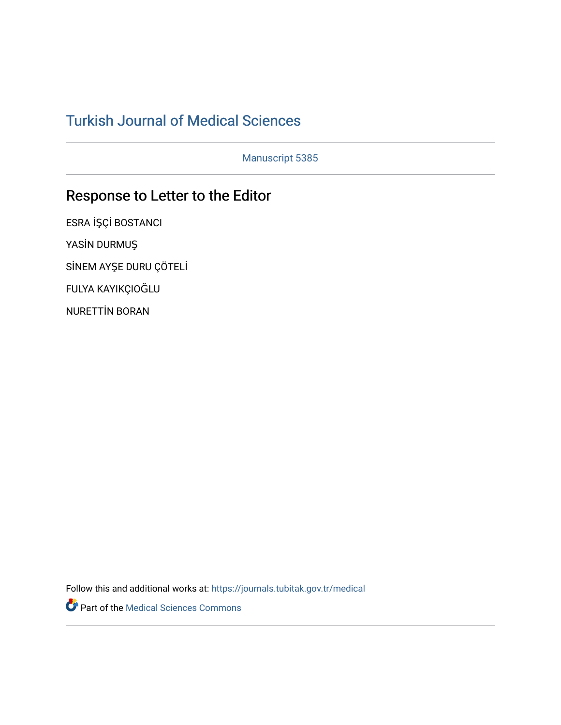## [Turkish Journal of Medical Sciences](https://journals.tubitak.gov.tr/medical)

Manuscript 5385

# Response to Letter to the Editor

ESRA İŞÇİ BOSTANCI YASİN DURMUŞ SİNEM AYŞE DURU ÇÖTELİ FULYA KAYIKÇIOĞLU NURETTİN BORAN

Follow this and additional works at: [https://journals.tubitak.gov.tr/medical](https://journals.tubitak.gov.tr/medical?utm_source=journals.tubitak.gov.tr%2Fmedical%2Fvol52%2Fiss3%2F43&utm_medium=PDF&utm_campaign=PDFCoverPages) 

Part of the [Medical Sciences Commons](https://network.bepress.com/hgg/discipline/664?utm_source=journals.tubitak.gov.tr%2Fmedical%2Fvol52%2Fiss3%2F43&utm_medium=PDF&utm_campaign=PDFCoverPages)